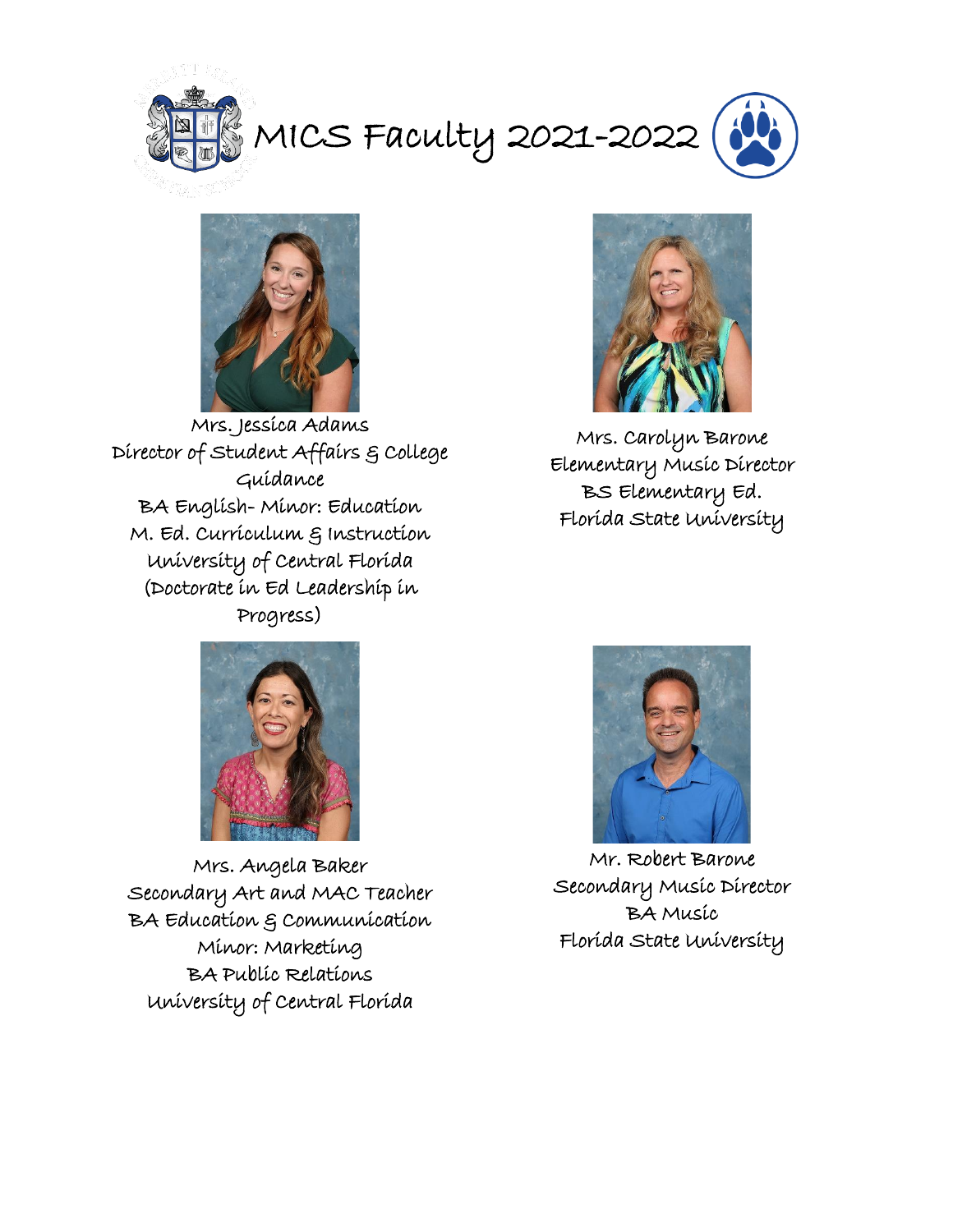



Mrs. Jessica Adams Director of Student Affairs & College Guidance BA English- Minor: Education M. Ed. Curriculum & Instruction University of Central Florida (Doctorate in Ed Leadership in Progress)



Mrs. Carolyn Barone Elementary Music Director BS Elementary Ed. Florida State University



Mrs. Angela Baker Secondary Art and MAC Teacher BA Education & Communication Minor: Marketing BA Public Relations University of Central Florida



Mr. Robert Barone Secondary Music Director BA Music Florida State University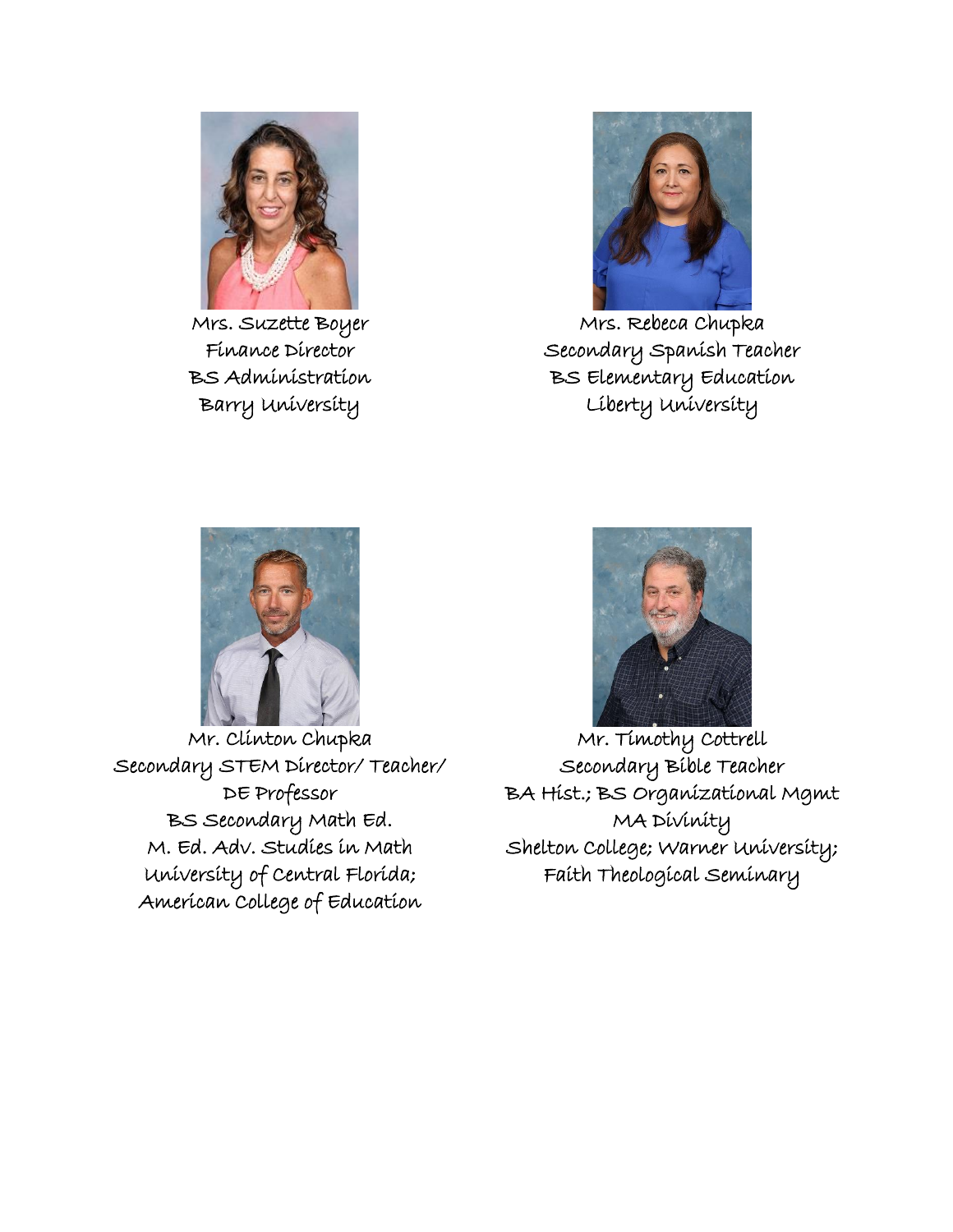

Mrs. Suzette Boyer Finance Director BS Administration Barry University



Mrs. Rebeca Chupka Secondary Spanish Teacher BS Elementary Education Liberty University



Mr. Clinton Chupka Secondary STEM Director/ Teacher/ DE Professor BS Secondary Math Ed. M. Ed. Adv. Studies in Math University of Central Florida; American College of Education



Mr. Timothy Cottrell Secondary Bible Teacher BA Hist.; BS Organizational Mgmt MA Divinity Shelton College; Warner University; Faith Theological Seminary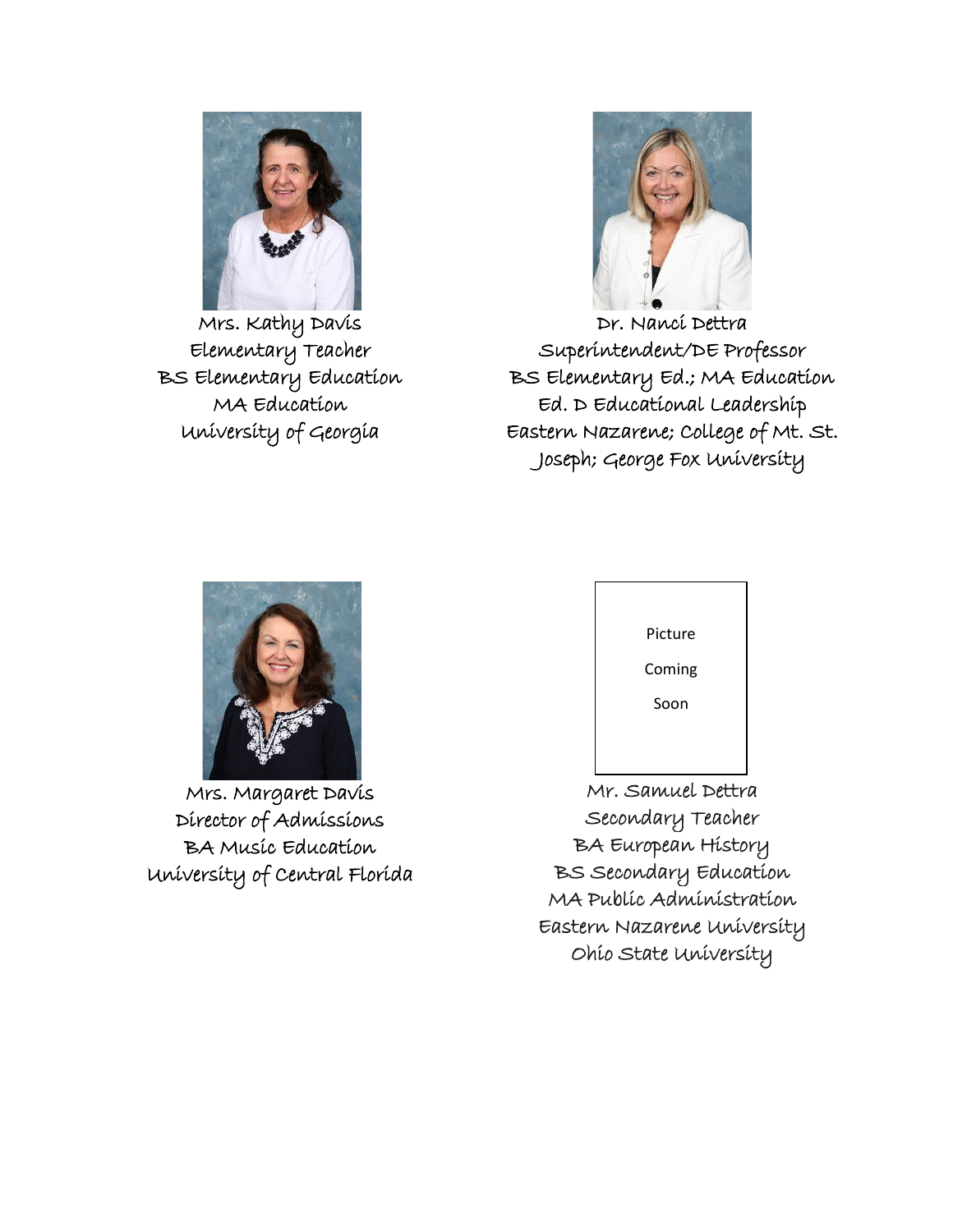

Mrs. Kathy Davis Elementary Teacher BS Elementary Education MA Education University of Georgia



Dr. Nanci Dettra Superintendent/DE Professor BS Elementary Ed.; MA Education Ed. D Educational Leadership Eastern Nazarene; College of Mt. St. Joseph; George Fox University



Mrs. Margaret Davis Director of Admissions BA Music Education University of Central Florida



Mr. Samuel Dettra Secondary Teacher BA European History BS Secondary Education MA Public Administration Eastern Nazarene University Ohio State University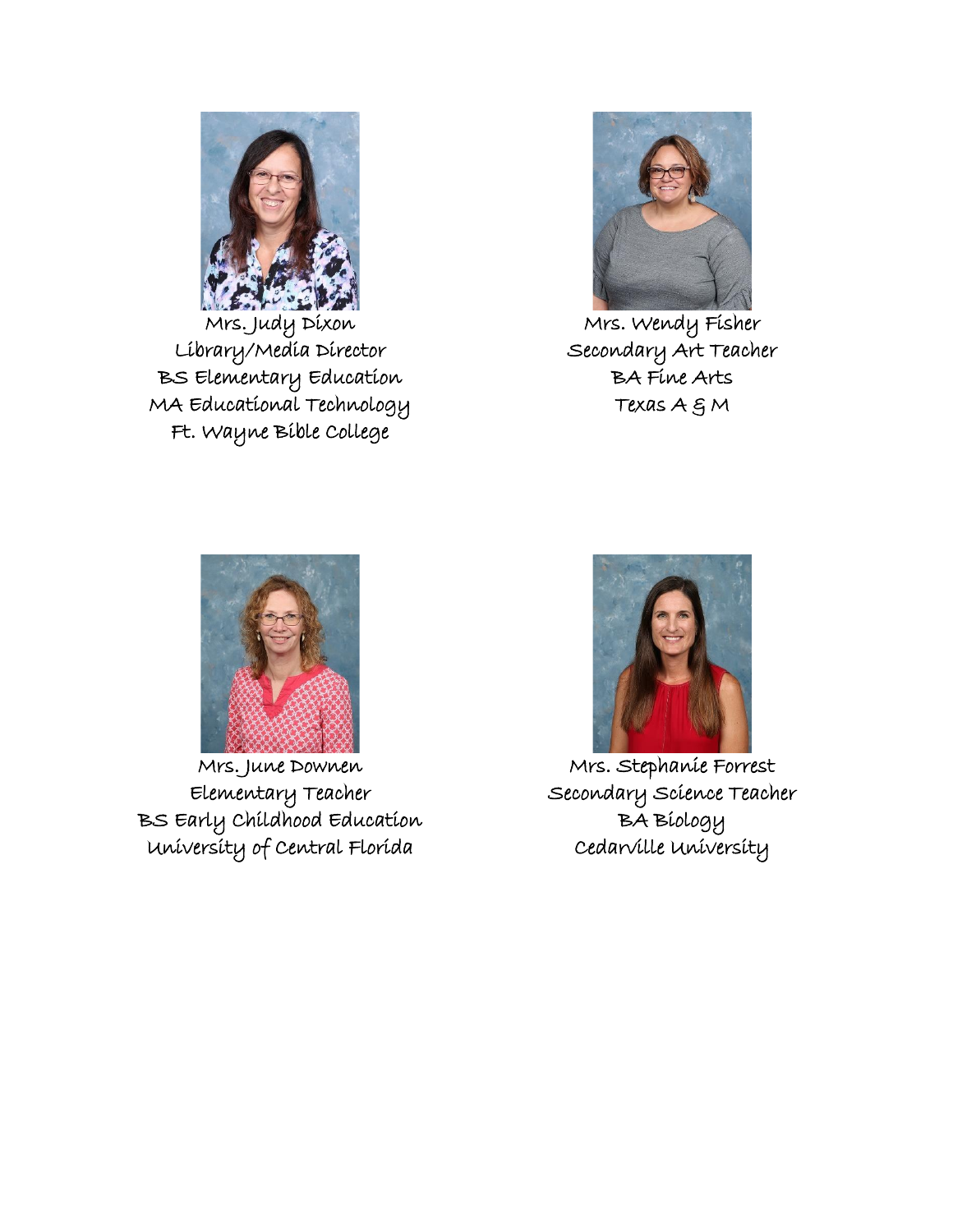

Mrs. Judy Dixon Library/Media Director BS Elementary Education MA Educational Technology Ft. Wayne Bible College



Mrs. Wendy Fisher Secondary Art Teacher BA Fine Arts Texas  $A \in M$ 



Mrs. June Downen Elementary Teacher BS Early Childhood Education University of Central Florida



Mrs. Stephanie Forrest Secondary Science Teacher BA Biology Cedarville University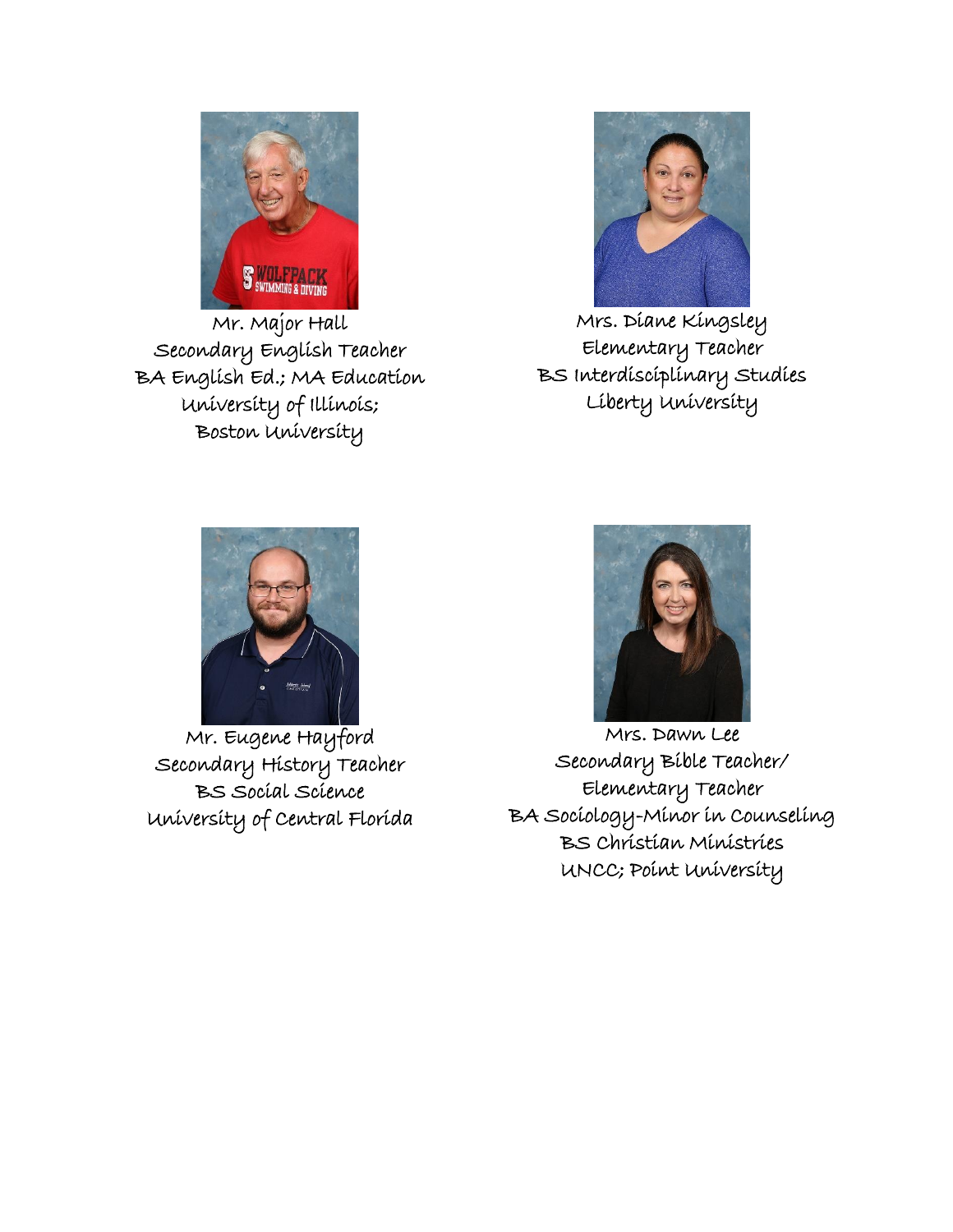

Mr. Major Hall Secondary English Teacher BA English Ed.; MA Education University of Illinois; Boston University



Mrs. Diane Kingsley Elementary Teacher BS Interdisciplinary Studies Liberty University



Mr. Eugene Hayford Secondary History Teacher BS Social Science University of Central Florida



Mrs. Dawn Lee Secondary Bible Teacher/ Elementary Teacher BA Sociology-Minor in Counseling BS Christian Ministries UNCC; Point University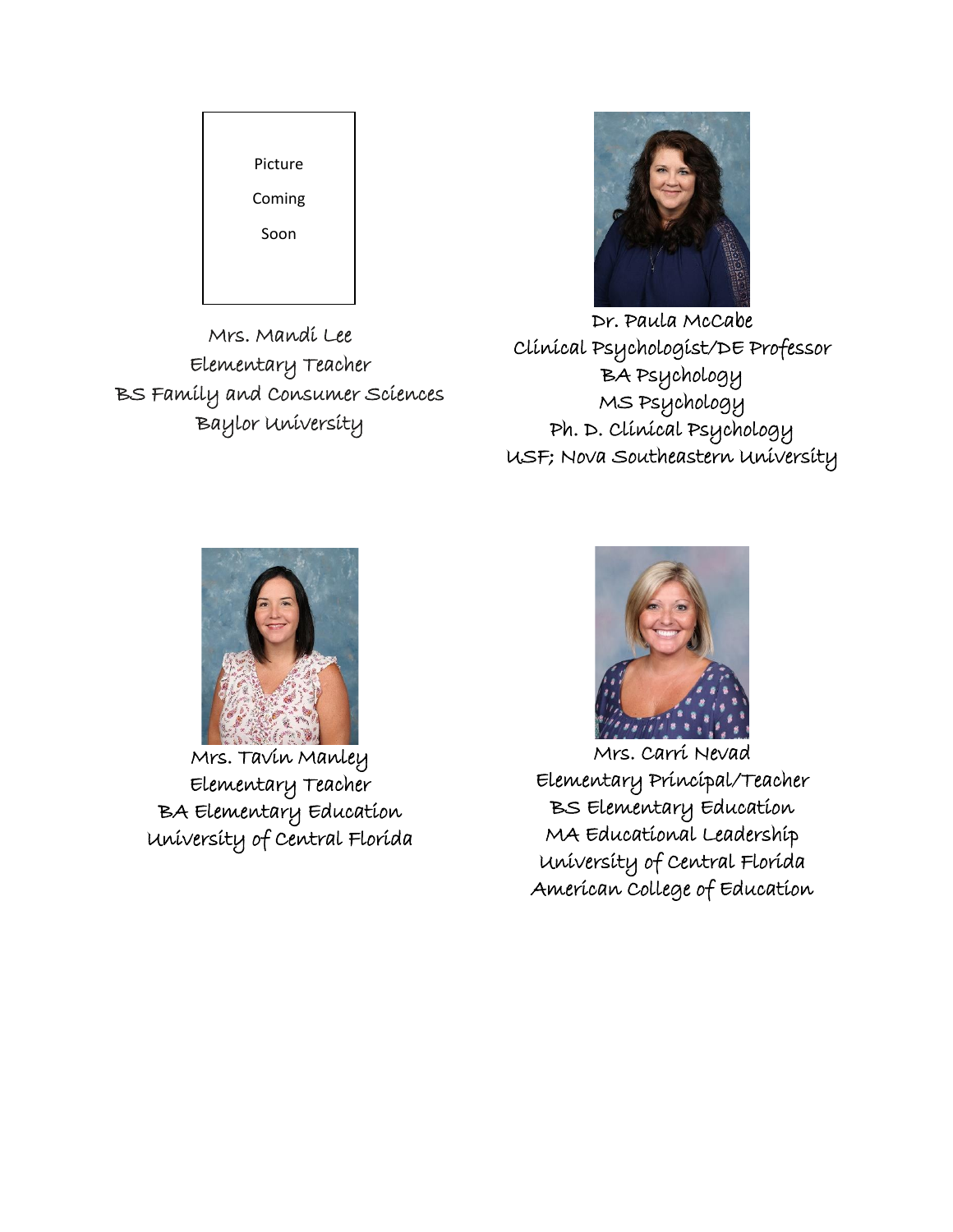

Mrs. Mandi Lee Elementary Teacher BS Family and Consumer Sciences Baylor University



Dr. Paula McCabe Clinical Psychologist/DE Professor BA Psychology MS Psychology Ph. D. Clinical Psychology USF; Nova Southeastern University



Mrs. Tavin Manley Elementary Teacher BA Elementary Education University of Central Florida



Mrs. Carri Nevad Elementary Principal/Teacher BS Elementary Education MA Educational Leadership University of Central Florida American College of Education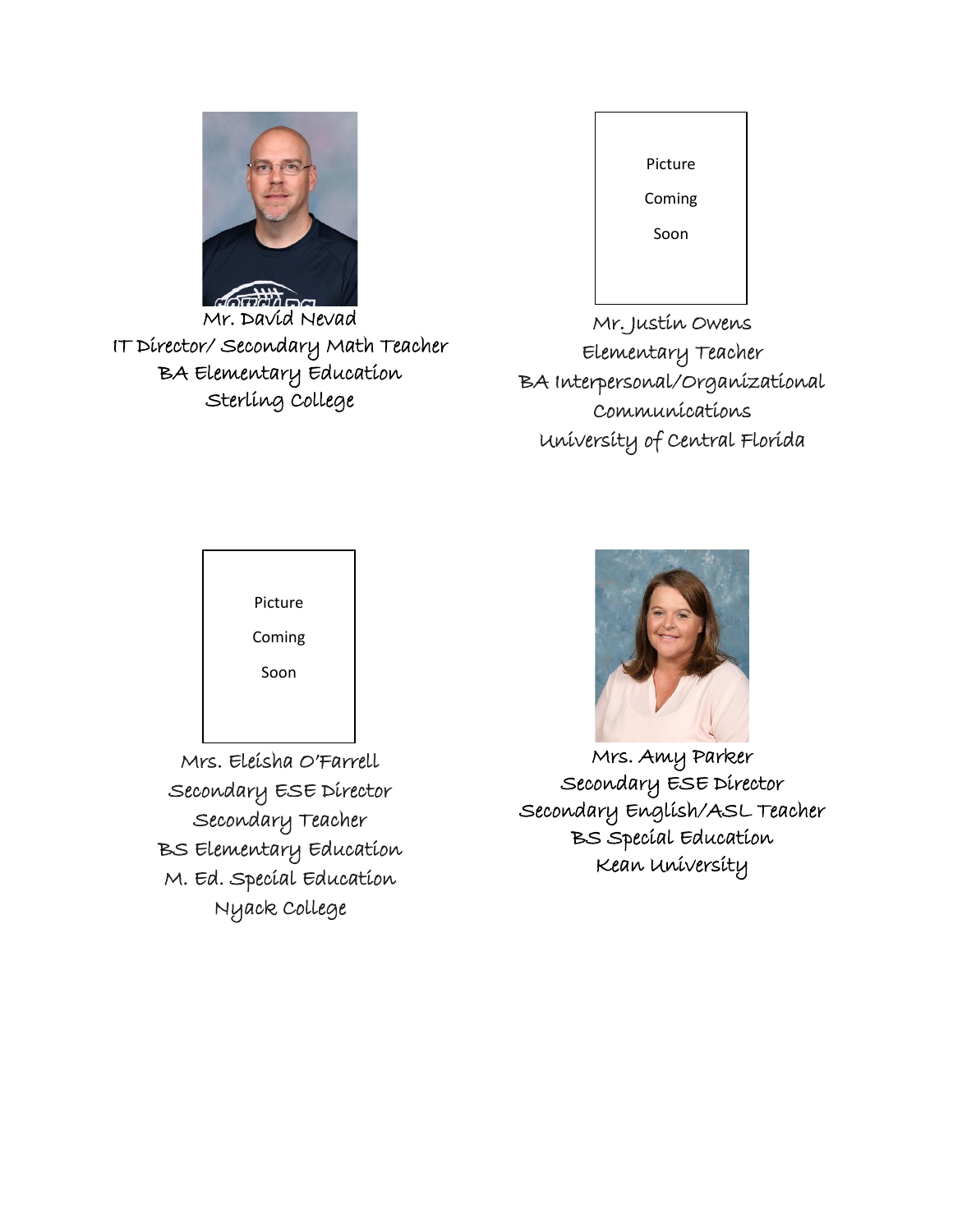

Mr. David Nevad IT Director/ Secondary Math Teacher BA Elementary Education Sterling College

| Picture |  |
|---------|--|
|         |  |
| Coming  |  |
|         |  |
| Soon    |  |
|         |  |
|         |  |

Mr. Justin Owens Elementary Teacher BA Interpersonal/Organizational Communications University of Central Florida



Mrs. Eleisha O'Farrell Secondary ESE Director Secondary Teacher BS Elementary Education M. Ed. Special Education Nyack College



Mrs. Amy Parker Secondary ESE Director Secondary English/ASL Teacher BS Special Education Kean University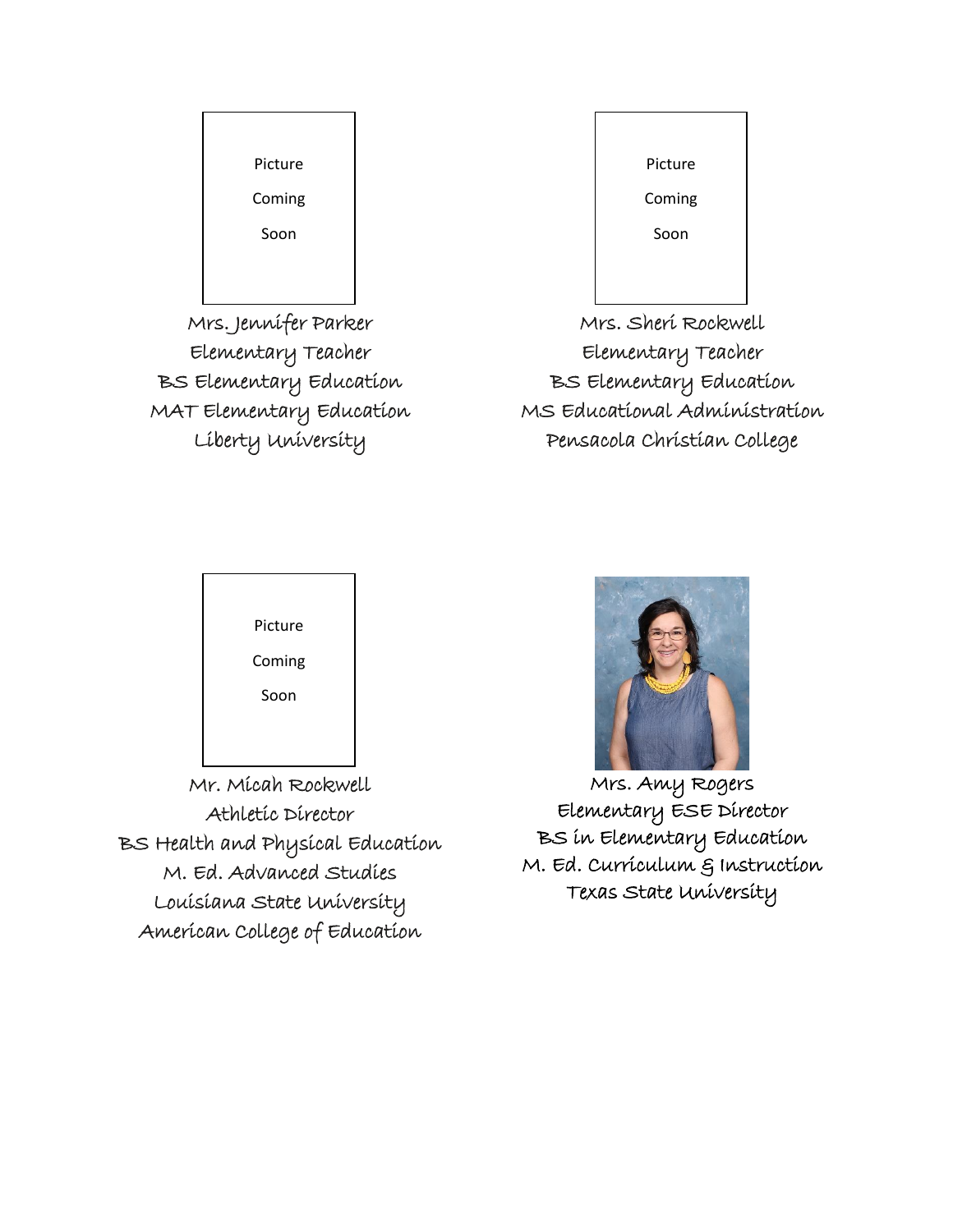

Mrs. Jennifer Parker Elementary Teacher BS Elementary Education MAT Elementary Education Liberty University

| Picture |  |
|---------|--|
| Coming  |  |
| Soon    |  |
|         |  |
|         |  |

Mrs. Sheri Rockwell Elementary Teacher BS Elementary Education MS Educational Administration Pensacola Christian College



Mr. Micah Rockwell Athletic Director BS Health and Physical Education M. Ed. Advanced Studies Louisiana State University American College of Education



Mrs. Amy Rogers Elementary ESE Director BS in Elementary Education M. Ed. Curriculum & Instruction Texas State University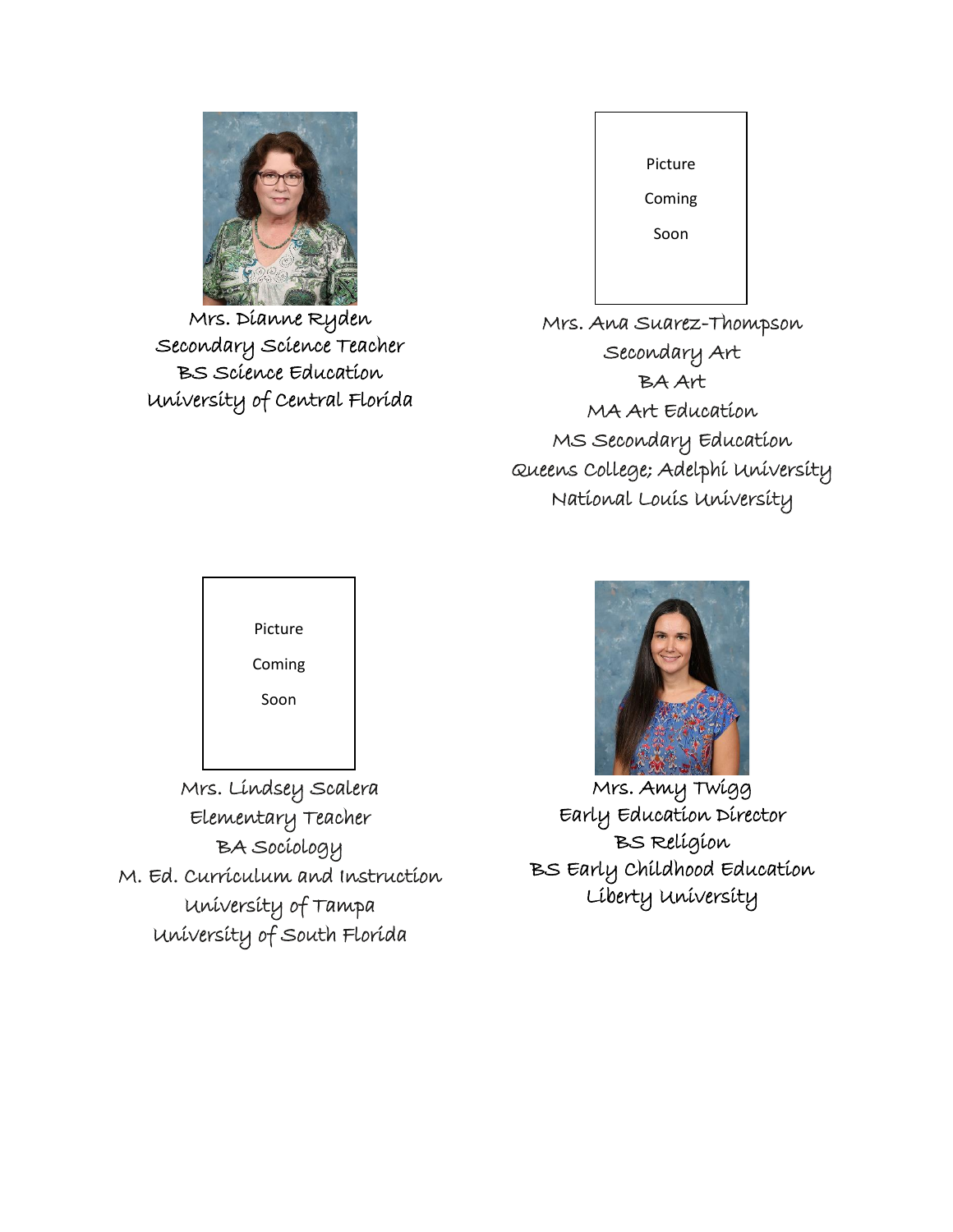

Mrs. Dianne Ryden Secondary Science Teacher BS Science Education University of Central Florida

| Picture |  |
|---------|--|
| Coming  |  |
| Soon    |  |
|         |  |

Mrs. Ana Suarez-Thompson Secondary Art BA Art MA Art Education MS Secondary Education Queens College; Adelphi University National Louis University



Soon

Mrs. Lindsey Scalera Elementary Teacher BA Sociology M. Ed. Curriculum and Instruction University of Tampa University of South Florida



 $\overline{a}$ Mrs. Amy Twigg Early Education Director BS Religion BS Early Childhood Education Liberty University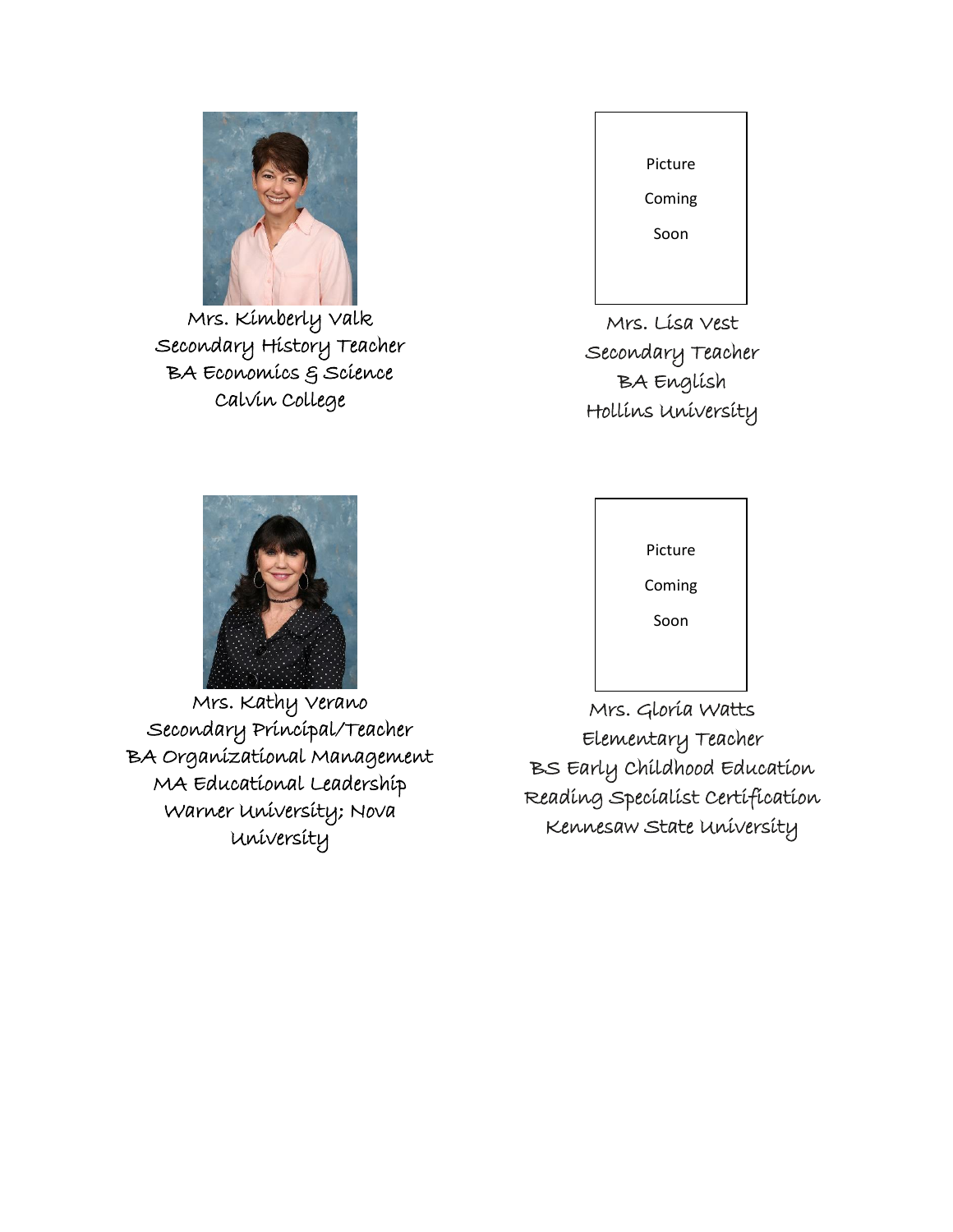

Mrs. Kimberly Valk Secondary History Teacher BA Economics & Science Calvin College



Mrs. Lisa Vest Secondary Teacher BA English Hollins University



Mrs. Kathy Verano Secondary Principal/Teacher BA Organizational Management MA Educational Leadership Warner University; Nova University



Mrs. Gloria Watts Elementary Teacher BS Early Childhood Education Reading Specialist Certification Kennesaw State University